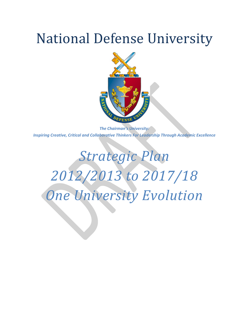# National Defense University



*The Chairman's University: Inspiring Creative, Critical and Collaborative Thinkers For Leadership Through Academic Excellence*

# *Strategic Plan 2012/2013 to 2017/18 One University Evolution*

the contract of the contract of the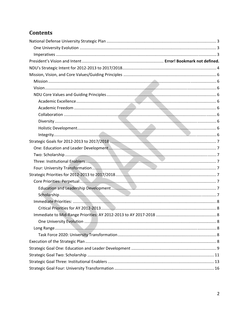# Contents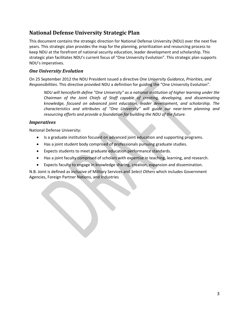# **National Defense University Strategic Plan**

This document contains the strategic direction for National Defense University (NDU) over the next five years. This strategic plan provides the map for the planning, prioritization and resourcing process to keep NDU at the forefront of national security education, leader development and scholarship. This strategic plan facilitates NDU's current focus of "One University Evolution". This strategic plan supports NDU's imperatives.

### *One University Evolution*

On 25 September 2012 the NDU President issued a directive *One University Guidance, Priorities, and Responsibilities*. This directive provided NDU a definition for guiding the "One University Evolution".

*NDU will henceforth define "One University" as a national institution of higher learning under the Chairman of the Joint Chiefs of Staff capable of creating, developing, and disseminating knowledge, focused on advanced joint education, leader development, and scholarship. The characteristics and attributes of "One University" will guide our near‐term planning and resourcing efforts and provide a foundation for building the NDU of the future.*

#### *Imperatives*

National Defense University:

the contract of the contract of

- Is a graduate institution focused on advanced joint education and supporting programs.
- Has a joint student body comprised of professionals pursuing graduate studies.
- Expects students to meet graduate education performance standards.
- Has a joint faculty comprised of scholars with expertise in teaching, learning, and research.
- Expects faculty to engage in knowledge sharing, creation, expansion and dissemination.

N.B. Joint is defined as inclusive of Military Services and *Select Others* which includes Government Agencies, Foreign Partner Nations, and Industries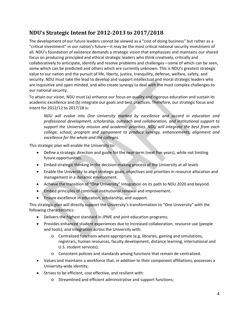# **NDU's Strategic Intent for 20122013 to 2017/2018**

The development of our future leaders cannot be viewed as a "cost of doing business" but rather as a "critical investment"∙in our nation's future—it may be the most critical national security investment of all. NDU's foundation of existence demands a strategic vision that emphasizes and maintains our shared focus on producing principled and ethical strategic leaders who think creatively, critically and collaboratively to anticipate, identify and resolve problems and challenges—some of which can be seen, some which can be predicted and others which are currently unknown. This is NDU's greatest strategic value to our nation and the pursuit of life, liberty, justice, tranquility, defense, welfare, safety, and security. NDU must take the lead to develop and support intellectual and moral strategic leaders who are inquisitive and open minded, and who create synergy to deal with the most complex challenges to our national security.

To attain our vision, NDU must (a) enhance our focus on quality and rigorous education and sustain its academic excellence and (b) integrate our goals and best practices. Therefore, our strategic focus and intent for 2012/12 to 2017/18 is:

*NDU will evolve into One University marked by excellence and accord in education and professional development, scholarship, outreach and collaboration, and institutional support to support the University mission and academic priorities. NDU will integrate the best from each college, school, program and component to produce synergy, enhancements, alignment and excellence for the whole and the colleges.*

This strategic plan will enable the University to:

- Define a strategic direction and guide for the near term (next five years), while not limiting future opportunities.
- Embed strategic thinking in the decision-making process of the University at all levels
- Enable the University to align strategic goals, objectives and priorities in resource allocation and management in a dynamic environment.
- Achieve the transition of "One University" integration on its path to NDU 2020 and beyond.
- Embed principles of continual institutional renewal and improvement.
- Ensure excellence in education, scholarship, and support.

This strategic plan will directly support the University's transformation to "One University" with the following characteristics:

- Delivers the highest standard in JPME and joint education programs;
- Provides enhanced student experiences due to increased collaboration, resource use (people and tools), and integration across the University with:
	- o Centralized functions where appropriate (e.g. libraries, gaming and simulations, registrars, human resources, faculty development, distance learning, international and U.S. student services);
	- o Consistent policies and standards among functions that remain de‐centralized.
- Values and maintains a workforce that, in addition to their component affiliations, possesses a University‐wide identity;
- Strives to be efficient, cost effective, and resilient with:
	- o Streamlined and efficient administrative and support functions;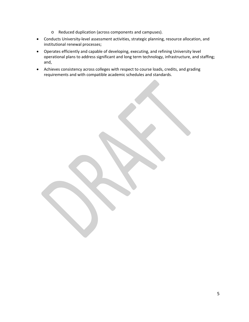- o Reduced duplication (across components and campuses).
- Conducts University‐level assessment activities, strategic planning, resource allocation, and institutional renewal processes;
- Operates efficiently and capable of developing, executing, and refining University level operational plans to address significant and long term technology, infrastructure, and staffing; and,
- Achieves consistency across colleges with respect to course loads, credits, and grading requirements and with compatible academic schedules and standards.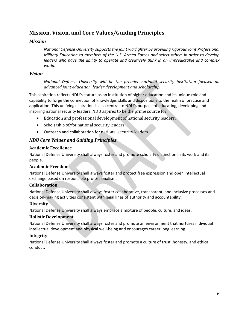## **Mission, Vision, and Core Values/Guiding Principles**

#### *Mission*

*National Defense University supports the joint warfighter by providing rigorous Joint Professional Military Education to members of the U.S. Armed Forces and select others in order to develop leaders who have the ability to operate and creatively think in an unpredictable and complex world.*

#### *Vision*

*National Defense University will be the premier national security institution focused on advanced joint education, leader development and scholarship.*

This aspiration reflects NDU's stature as an institution of higher education and its unique role and capability to forge the connection of knowledge, skills and dispositions to the realm of practice and application. This unifying aspiration is also central to NDU's purpose of educating, developing and inspiring national security leaders. NDU aspires to be the prime source for:

- Education and professional development of national security leaders.
- Scholarship of/for national security leaders.
- Outreach and collaboration for national security leaders.

### *NDU Core Values and Guiding Principles*

#### **Academic Excellence**

National Defense University shall always foster and promote scholarly distinction in its work and its people.

#### **Academic Freedom**

National Defense University shall always foster and protect free expression and open intellectual exchange based on responsible professionalism.

#### **Collaboration**

National Defense University shall always foster collaborative, transparent, and inclusive processes and decision‐making activities consistent with legal lines of authority and accountability.

#### **Diversity**

National Defense University shall always embrace a mixture of people, culture, and ideas.

#### **Holistic Development**

National Defense University shall always foster and promote an environment that nurtures individual intellectual development and physical well‐being and encourages career long learning.

#### **Integrity**

National Defense University shall always foster and promote a culture of trust, honesty, and ethical conduct.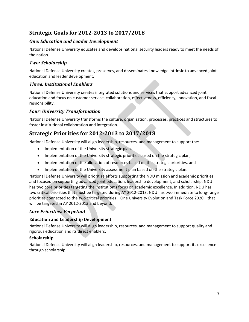# **Strategic Goals for 20122013 to 2017/2018**

## *One: Education and Leader Development*

National Defense University educates and develops national security leaders ready to meet the needs of the nation.

## *Two: Scholarship*

National Defense University creates, preserves, and disseminates knowledge intrinsic to advanced joint education and leader development.

## *Three: Institutional Enablers*

National Defense University creates integrated solutions and services that support advanced joint education and focus on customer service, collaboration, effectiveness, efficiency, innovation, and fiscal responsibility.

## *Four: University Transformation*

National Defense University transforms the culture, organization, processes, practices and structures to foster institutional collaboration and integration.

# **Strategic Priorities for 20122013 to 2017/2018**

National Defense University will align leadership, resources, and management to support the:

- Implementation of the University strategic plan,
- Implementation of the University strategic priorities based on the strategic plan,
- Implementation of the allocation of resources based on the strategic priorities, and
- Implementation of the University assessment plan based on the strategic plan.

National Defense University will prioritize efforts supporting the NDU mission and academic priorities and focused on supporting advanced joint education, leadership development, and scholarship. NDU has two core priorities targeting the institution's focus on academic excellence. In addition, NDU has two critical priorities that must be targeted during AY 2012-2013. NDU has two immediate to long-range priorities connected to the two critical priorities—One University Evolution and Task Force 2020—that will be targeted in AY 2012‐2013 and beyond.

## *Core Priorities: Perpetual*

### **Education and Leadership Development**

National Defense University will align leadership, resources, and management to support quality and rigorous education and its direct enablers.

### **Scholarship**

National Defense University will align leadership, resources, and management to support its excellence through scholarship.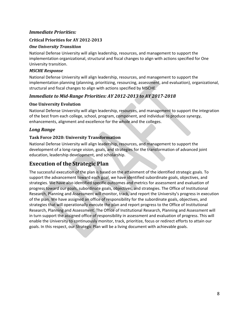#### *Immediate Priorities:*

#### **Critical Priorities for AY 20122013**

#### *One University Transition*

National Defense University will align leadership, resources, and management to support the implementation organizational, structural and fiscal changes to align with actions specified for One University transition.

#### *MSCHE Response*

National Defense University will align leadership, resources, and management to support the implementation planning (planning, prioritizing, resourcing, assessment, and evaluation), organizational, structural and fiscal changes to align with actions specified by MSCHE.

#### *Immediate to MidRange Priorities: AY 20122013 to AY 20172018*

#### **One University Evolution**

National Defense University will align leadership, resources, and management to support the integration of the best from each college, school, program, component, and individual to produce synergy, enhancements, alignment and excellence for the whole and the colleges.

#### *Long Range*

#### **Task Force 2020: University Transformation**

National Defense University will align leadership, resources, and management to support the development of a long‐range vision, goals, and strategies for the transformation of advanced joint education, leadership development, and scholarship.

## **Execution of the Strategic Plan**

The successful execution of the plan is based on the attainment of the identified strategic goals. To support the advancement toward each goal, we have identified subordinate goals, objectives, and strategies. We have also identified specific outcomes and metrics for assessment and evaluation of progress toward our goals, subordinate goals, objectives, and strategies. The Office of Institutional Research, Planning and Assessment will monitor, track, and report the University's progress in execution of the plan. We have assigned an office of responsibility for the subordinate goals, objectives, and strategies that will operationally execute the plan and report progress to the Office of Institutional Research, Planning and Assessment. The Office of Institutional Research, Planning and Assessment will in turn support the assigned office of responsibility in assessment and evaluation of progress. This will enable the University to continuously monitor, track, prioritize, focus or redirect efforts to attain our goals. In this respect, our Strategic Plan will be a living document with achievable goals.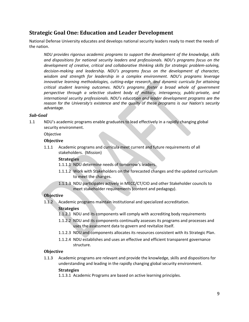## **Strategic Goal One: Education and Leader Development**

National Defense University educates and develops national security leaders ready to meet the needs of the nation.

*NDU provides rigorous academic programs to support the development of the knowledge, skills and dispositions for national security leaders and professionals. NDU's programs focus on the development of creative, critical and collaborative thinking skills for strategic problem‐solving, decision‐making and leadership. NDU's programs focus on the development of character, wisdom and strength for leadership in a complex environment. NDU's programs leverage innovative learning methodologies, cutting‐edge research, and dynamic curricula for attaining critical student learning outcomes. NDU's programs foster a broad whole of government perspective through a selective student body of military, interagency, public‐private, and international security professionals. NDU's education and leader development programs are the reason for the University's existence and the quality of these programs is our Nation's security advantage.* 

#### *SubGoal*

1.1 NDU's academic programs enable graduates to lead effectively in a rapidly changing global security environment.

Objective

#### **Objective**

1.1.1 Academic programs and curricula meet current and future requirements of all stakeholders. (Mission)

#### **Strategies**

- 1.1.1.1 NDU determine needs of tomorrow's leaders.
- 1.1.1.2 Work with Stakeholders on the forecasted changes and the updated curriculum to meet the changes.
- 1.1.1.3 NDU participates actively in MECC/CT/CIO and other Stakeholder councils to meet stakeholder requirements (content and pedagogy).

#### **Objective**

1.1.2 Academic programs maintain institutional and specialized accreditation.

#### **Strategies**

- 1.1.2.1 NDU and its components will comply with accrediting body requirements
- 1.1.2.2 NDU and its components continually assesses its programs and processes and uses the assessment data to govern and revitalize itself.
- 1.1.2.3 NDU and components allocates its resources consistent with its Strategic Plan.
- 1.1.2.4 NDU establishes and uses an effective and efficient transparent governance structure.

#### **Objective**

1.1.3 Academic programs are relevant and provide the knowledge, skills and dispositions for understanding and leading in the rapidly changing global security environment.

#### **Strategies**

1.1.3.1 Academic Programs are based on active learning principles.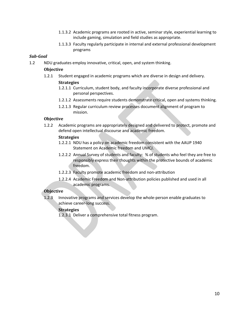- 1.1.3.2 Academic programs are rooted in active, seminar style, experiential learning to include gaming, simulation and field studies as appropriate.
- 1.1.3.3 Faculty regularly participate in internal and external professional development programs

#### *SubGoal*

1.2 NDU graduates employ innovative, critical, open, and system thinking.

#### **Objective**

1.2.1 Student engaged in academic programs which are diverse in design and delivery.

#### **Strategies**

- 1.2.1.1 Curriculum, student body, and faculty incorporate diverse professional and personal perspectives.
- 1.2.1.2 Assessments require students demonstrate critical, open and systems thinking.
- 1.2.1.3 Regular curriculum review processes document alignment of program to mission.

#### **Objective**

1.2.2 Academic programs are appropriately designed and delivered to protect, promote and defend open intellectual discourse and academic freedom.

#### **Strategies**

- 1.2.2.1 NDU has a policy on academic freedom consistent with the AAUP 1940 Statement on Academic freedom and UMCJ.
- 1.2.2.2 Annual Survey of students and faculty: % of students who feel they are free to responsibly express their thoughts within the protective bounds of academic freedom.
- 1.2.2.3 Faculty promote academic freedom and non‐attribution
- 1.2.2.4 Academic Freedom and Non‐attribution policies published and used in all academic programs.

#### **Objective**

1.2.3 Innovative programs and services develop the whole‐person enable graduates to achieve career‐long success.

#### **Strategies**

1.2.3.1 Deliver a comprehensive total fitness program.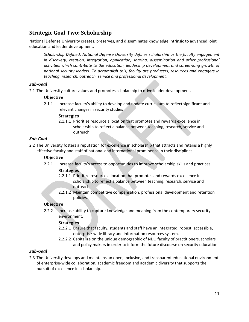## **Strategic Goal Two: Scholarship**

National Defense University creates, preserves, and disseminates knowledge intrinsic to advanced joint education and leader development.

*Scholarship Defined: National Defense University defines scholarship as the faculty engagement in discovery, creation, integration, application, sharing, dissemination and other professional activities which contribute to the education, leadership development and career‐long growth of national security leaders. To accomplish this, faculty are producers, resources and engagers in teaching, research, outreach, service and professional development.*

#### *SubGoal*

2.1 The University culture values and promotes scholarship to drive leader development.

#### **Objective**

2.1.1 Increase faculty's ability to develop and update curriculum to reflect significant and relevant changes in security studies

#### **Strategies**

2.1.1.1 Prioritize resource allocation that promotes and rewards excellence in scholarship to reflect a balance between teaching, research, service and outreach.

#### *SubGoal*

2.2 The University fosters a reputation for excellence in scholarship that attracts and retains a highly effective faculty and staff of national and international prominence in their disciplines.

#### **Objective**

- 2.2.1 Increase faculty's access to opportunities to improve scholarship skills and practices. **Strategies**
	- 2.2.1.1 Prioritize resource allocation that promotes and rewards excellence in scholarship to reflect a balance between teaching, research, service and outreach.
	- 2.2.1.2 Maintain competitive compensation, professional development and retention policies.

#### **Objective**

2.2.2 Increase ability to capture knowledge and meaning from the contemporary security environment.

#### **Strategies**

- 2.2.2.1 Ensure that faculty, students and staff have an integrated, robust, accessible, enterprise‐wide library and information resources system.
- 2.2.2.2 Capitalize on the unique demographic of NDU faculty of practitioners, scholars and policy makers in order to inform the future discourse on security education.

#### *SubGoal*

2.3 The University develops and maintains an open, inclusive, and transparent educational environment of enterprise‐wide collaboration, academic freedom and academic diversity that supports the pursuit of excellence in scholarship.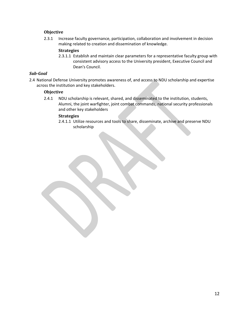#### **Objective**

2.3.1 Increase faculty governance, participation, collaboration and involvement in decision making related to creation and dissemination of knowledge.

#### **Strategies**

2.3.1.1 Establish and maintain clear parameters for a representative faculty group with consistent advisory access to the University president, Executive Council and Dean's Council.

#### *SubGoal*

2.4 National Defense University promotes awareness of, and access to NDU scholarship and expertise across the institution and key stakeholders.

#### **Objective**

2.4.1 NDU scholarship is relevant, shared, and disseminated to the institution, students, Alumni, the joint warfighter, joint combat commands, national security professionals and other key stakeholders

#### **Strategies**

2.4.1.1 Utilize resources and tools to share, disseminate, archive and preserve NDU scholarship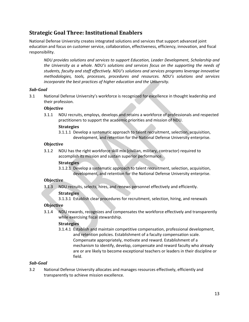# **Strategic Goal Three: Institutional Enablers**

National Defense University creates integrated solutions and services that support advanced joint education and focus on customer service, collaboration, effectiveness, efficiency, innovation, and fiscal responsibility.

*NDU provides solutions and services to support Education, Leader Development, Scholarship and the University as a whole. NDU's solutions and services focus on the supporting the needs of students, faculty and staff effectively. NDU's solutions and services programs leverage innovative methodologies, tools, processes, procedures and resources. NDU's solutions and services incorporate the best practices of higher education and the University.*

#### *SubGoal*

3.1 National Defense University's workforce is recognized for excellence in thought leadership and their profession.

#### **Objective**

3.1.1 NDU recruits, employs, develops and retains a workforce of professionals and respected practitioners to support the academic priorities and mission of NDU.

#### **Strategies**

3.1.1.1 Develop a systematic approach to talent recruitment, selection, acquisition, development, and retention for the National Defense University enterprise.

#### **Objective**

3.1.2 NDU has the right workforce skill mix (civilian, military, contractor) required to accomplish its mission and sustain superior performance.

#### **Strategies**

3.1.2.1 Develop a systematic approach to talent recruitment, selection, acquisition, development, and retention for the National Defense University enterprise.

#### **Objective**

3.1.3 NDU recruits, selects, hires, and renews personnel effectively and efficiently.

#### **Strategies**

3.1.3.1 Establish clear procedures for recruitment, selection, hiring, and renewals

#### **Objective**

3.1.4 NDU rewards, recognizes and compensates the workforce effectively and transparently while exercising fiscal stewardship.

#### **Strategies**

3.1.4.1 Establish and maintain competitive compensation, professional development, and retention policies. Establishment of a faculty compensation scale. Compensate appropriately, motivate and reward. Establishment of a mechanism to identify, develop, compensate and reward faculty who already are or are likely to become exceptional teachers or leaders in their discipline or field.

#### *SubGoal*

3.2 National Defense University allocates and manages resources effectively, efficiently and transparently to achieve mission excellence.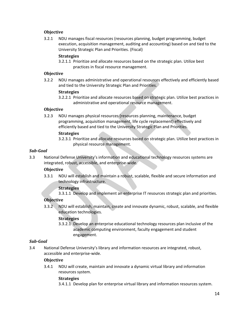#### **Objective**

3.2.1 NDU manages fiscal resources (resources planning, budget programming, budget execution, acquisition management, auditing and accounting) based on and tied to the University Strategic Plan and Priorities. (Fiscal)

#### **Strategies**

3.2.1.1 Prioritize and allocate resources based on the strategic plan. Utilize best practices in fiscal resource management.

#### **Objective**

3.2.2 NDU manages administrative and operational resources effectively and efficiently based and tied to the University Strategic Plan and Priorities.

#### **Strategies**

3.2.2.1 Prioritize and allocate resources based on strategic plan. Utilize best practices in administrative and operational resource management.

#### **Objective**

3.2.3 NDU manages physical resources (resources planning, maintenance, budget programming, acquisition management, life cycle replacement) effectively and efficiently based and tied to the University Strategic Plan and Priorities.

#### **Strategies**

3.2.3.1 Prioritize and allocate resources based on strategic plan. Utilize best practices in physical resource management.

#### *SubGoal*

3.3 National Defense University's information and educational technology resources systems are integrated, robust, accessible, and enterprise‐wide.

#### **Objective**

3.3.1 NDU will establish and maintain a robust, scalable, flexible and secure information and technology infrastructure.

#### **Strategies**

3.3.1.1 Develop and implement an enterprise IT resources strategic plan and priorities.

#### **Objective**

3.3.2 NDU will establish, maintain, create and innovate dynamic, robust, scalable, and flexible education technologies.

#### **Strategies**

3.3.2.1 Develop an enterprise educational technology resources plan inclusive of the academic computing environment, faculty engagement and student engagement.

#### *SubGoal*

3.4 National Defense University's library and information resources are integrated, robust, accessible and enterprise‐wide.

#### **Objective**

3.4.1 NDU will create, maintain and innovate a dynamic virtual library and information resources system.

#### **Strategies**

3.4.1.1 Develop plan for enterprise virtual library and information resources system.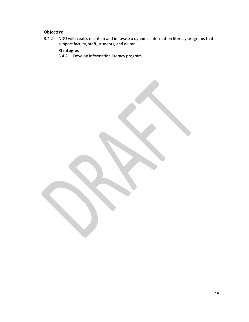## **Objective**

3.4.2 NDU will create, maintain and innovate a dynamic information literacy programs that support faculty, staff, students, and alumni.

### **Strategies**

3.4.2.1 Develop information literacy program.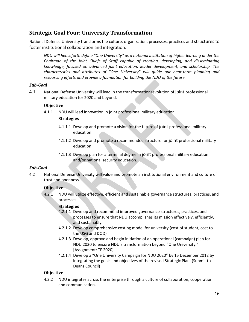## **Strategic Goal Four: University Transformation**

National Defense University transforms the culture, organization, processes, practices and structures to foster institutional collaboration and integration.

*NDU will henceforth define "One University" as a national institution of higher learning under the Chairman of the Joint Chiefs of Staff capable of creating, developing, and disseminating knowledge, focused on advanced joint education, leader development, and scholarship. The characteristics and attributes of "One University" will guide our near‐term planning and resourcing efforts and provide a foundation for building the NDU of the future.*

#### *SubGoal*

4.1 National Defense University will lead in the transformation/evolution of joint professional military education for 2020 and beyond.

#### **Objective**

4.1.1 NDU will lead innovation in joint professional military education.

#### **Strategies**

- 4.1.1.1 Develop and promote a vision for the future of joint professional military education.
- 4.1.1.2 Develop and promote a recommended structure for joint professional military education.
- 4.1.1.3 Develop plan for a terminal degree in joint professional military education and/or national security education.

#### *SubGoal*

4.2 National Defense University will value and promote an institutional environment and culture of trust and openness.

#### **Objective**

4.2.1 NDU will utilize effective, efficient and sustainable governance structures, practices, and processes

#### **Strategies**

- 4.2.1.1 Develop and recommend improved governance structures, practices, and processes to ensure that NDU accomplishes its mission effectively, efficiently, and sustainably.
- 4.2.1.2 Develop comprehensive costing model for university (cost of student, cost to the USG and DOD)
- 4.2.1.3 Develop, approve and begin initiation of an operational (campaign) plan for NDU 2020 to ensure NDU's transformation beyond "One University." [Assignment: TF 2020)
- 4.2.1.4 Develop a "One University Campaign for NDU 2020" by 15 December 2012 by integrating the goals and objectives of the revised Strategic Plan. (Submit to Deans Council)

#### **Objective**

4.2.2 NDU integrates across the enterprise through a culture of collaboration, cooperation and communication.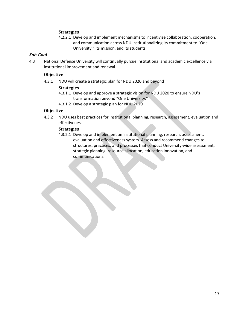#### **Strategies**

4.2.2.1 Develop and implement mechanisms to incentivize collaboration, cooperation, and communication across NDU institutionalizing its commitment to "One University," its mission, and its students.

#### *SubGoal*

4.3 National Defense University will continually pursue institutional and academic excellence via institutional improvement and renewal.

#### **Objective**

4.3.1 NDU will create a strategic plan for NDU 2020 and beyond

#### **Strategies**

- 4.3.1.1 Develop and approve a strategic vision for NDU 2020 to ensure NDU's transformation beyond "One University."
- 4.3.1.2 Develop a strategic plan for NDU 2020

#### **Objective**

4.3.2 NDU uses best practices for institutional planning, research, assessment, evaluation and effectiveness

#### **Strategies**

4.3.2.1 Develop and implement an institutional planning, research, assessment, evaluation and effectiveness system. Assess and recommend changes to structures, practices, and processes that conduct University‐wide assessment, strategic planning, resource allocation, education innovation, and communications.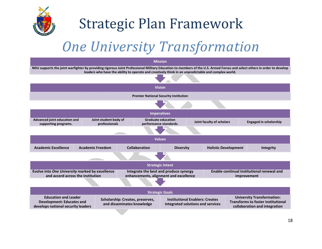

# Strategic Plan Framework

# *One University Transformation*